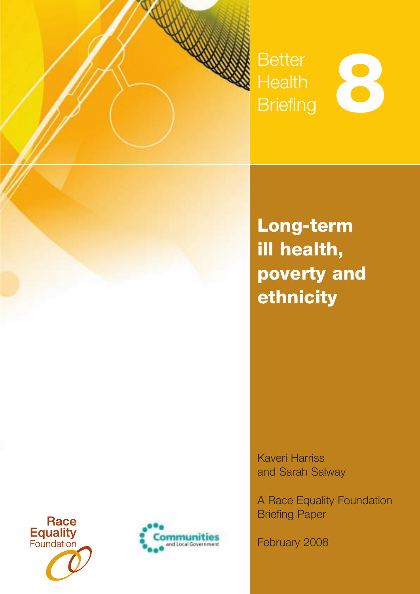

K

# **Better Health** Better<br>Health<br>Briefing

**Long-term ill health, poverty and ethnicity**

Kaveri Harriss and Sarah Salway

A Race Equality Foundation Briefing Paper

February 2008



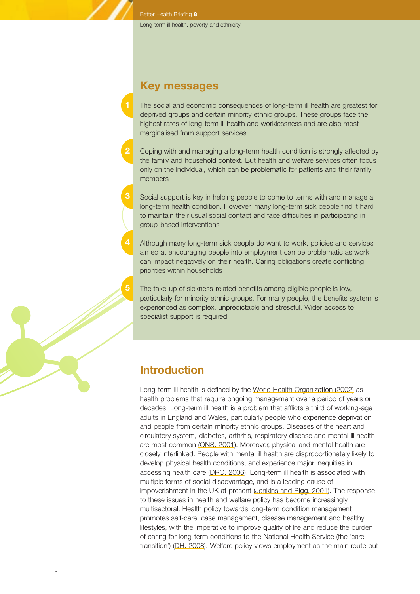Better Health Briefing **8**

# **Key messages**

- The social and economic consequences of long-term ill health are greatest for deprived groups and certain minority ethnic groups. These groups face the highest rates of long-term ill health and worklessness and are also most marginalised from support services
- **2** Coping with and managing a long-term health condition is strongly affected by the family and household context. But health and welfare services often focus only on the individual, which can be problematic for patients and their family members
- **3** Social support is key in helping people to come to terms with and manage a long-term health condition. However, many long-term sick people find it hard to maintain their usual social contact and face difficulties in participating in group-based interventions
	- Although many long-term sick people do want to work, policies and services aimed at encouraging people into employment can be problematic as work can impact negatively on their health. Caring obligations create conflicting priorities within households
		- The take-up of sickness-related benefits among eligible people is low, particularly for minority ethnic groups. For many people, the benefits system is experienced as complex, unpredictable and stressful. Wider access to specialist support is required.

# **Introduction**

**5**

Long-term ill health is defined by the World Health Organization (2002) as health problems that require ongoing management over a period of years or decades. Long-term ill health is a problem that afflicts a third of working-age adults in England and Wales, particularly people who experience deprivation and people from certain minority ethnic groups. Diseases of the heart and circulatory system, diabetes, arthritis, respiratory disease and mental ill health are most common (ONS, 2001). Moreover, physical and mental health are closely interlinked. People with mental ill health are disproportionately likely to develop physical health conditions, and experience major inequities in accessing health care (DRC, 2006). Long-term ill health is associated with multiple forms of social disadvantage, and is a leading cause of impoverishment in the UK at present (Jenkins and Rigg, 2001). The response to these issues in health and welfare policy has become increasingly multisectoral. Health policy towards long-term condition management promotes self-care, case management, disease management and healthy lifestyles, with the imperative to improve quality of life and reduce the burden of caring for long-term conditions to the National Health Service (the 'care transition') (DH, 2008). Welfare policy views employment as the main route out

1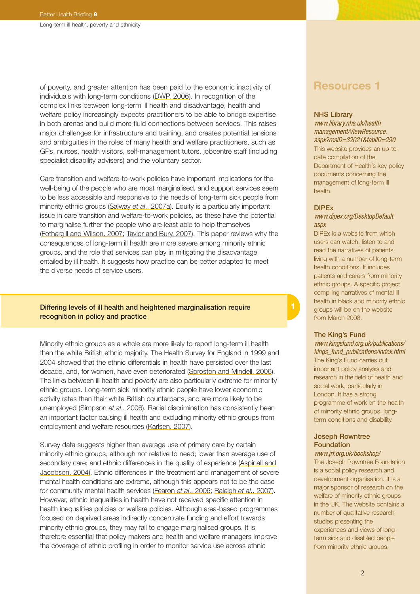of poverty, and greater attention has been paid to the economic inactivity of individuals with long-term conditions (DWP, 2006). In recognition of the complex links between long-term ill health and disadvantage, health and welfare policy increasingly expects practitioners to be able to bridge expertise in both arenas and build more fluid connections between services. This raises major challenges for infrastructure and training, and creates potential tensions and ambiguities in the roles of many health and welfare practitioners, such as GPs, nurses, health visitors, self-management tutors, jobcentre staff (including specialist disability advisers) and the voluntary sector.

Care transition and welfare-to-work policies have important implications for the well-being of the people who are most marginalised, and support services seem to be less accessible and responsive to the needs of long-term sick people from minority ethnic groups (Salway *et al*., 2007a). Equity is a particularly important issue in care transition and welfare-to-work policies, as these have the potential to marginalise further the people who are least able to help themselves (Fothergill and Wilson, 2007; Taylor and Bury, 2007). This paper reviews why the consequences of long-term ill health are more severe among minority ethnic groups, and the role that services can play in mitigating the disadvantage entailed by ill health. It suggests how practice can be better adapted to meet the diverse needs of service users.

### Differing levels of ill health and heightened marginalisation require recognition in policy and practice

Minority ethnic groups as a whole are more likely to report long-term ill health than the white British ethnic majority. The Health Survey for England in 1999 and 2004 showed that the ethnic differentials in health have persisted over the last decade, and, for women, have even deteriorated (Sproston and Mindell, 2006). The links between ill health and poverty are also particularly extreme for minority ethnic groups. Long-term sick minority ethnic people have lower economic activity rates than their white British counterparts, and are more likely to be unemployed (Simpson *et al*., 2006). Racial discrimination has consistently been an important factor causing ill health and excluding minority ethnic groups from employment and welfare resources (Karlsen, 2007).

Survey data suggests higher than average use of primary care by certain minority ethnic groups, although not relative to need; lower than average use of secondary care; and ethnic differences in the quality of experience (Aspinall and Jacobson, 2004). Ethnic differences in the treatment and management of severe mental health conditions are extreme, although this appears not to be the case for community mental health services (Fearon *et al*., 2006; Raleigh *et al*., 2007). However, ethnic inequalities in health have not received specific attention in health inequalities policies or welfare policies. Although area-based programmes focused on deprived areas indirectly concentrate funding and effort towards minority ethnic groups, they may fail to engage marginalised groups. It is therefore essential that policy makers and health and welfare managers improve the coverage of ethnic profiling in order to monitor service use across ethnic

# **Resources 1**

#### NHS Library

*[www.library.nhs.uk/health](http://www.library.nhs.uk/healthmanagement/ViewResource.aspx?resID=32021&tablID=290) [management/ViewResource.](http://www.library.nhs.uk/healthmanagement/ViewResource.aspx?resID=32021&tablID=290) [aspx?resID=32021&tablID=290](http://www.library.nhs.uk/healthmanagement/ViewResource.aspx?resID=32021&tablID=290)* This website provides an up-todate compilation of the Department of Health's key policy documents concerning the management of long-term ill health.

#### DIPEx

### *[www.dipex.org/DesktopDefault.](http://www.dipex.org/DesktopDefault.aspx) [aspx](http://www.dipex.org/DesktopDefault.aspx)*

DIPEx is a website from which users can watch, listen to and read the narratives of patients living with a number of long-term health conditions. It includes patients and carers from minority ethnic groups. A specific project compiling narratives of mental ill health in black and minority ethnic groups will be on the website from March 2008.

#### The King's Fund

*[www.kingsfund.org.uk/publications/](http://www.kingsfund.org.uk/publications/kings_fund_publications/index.html) [kings\\_fund\\_publications/index.html](http://www.kingsfund.org.uk/publications/kings_fund_publications/index.html)* The King's Fund carries out important policy analysis and research in the field of health and social work, particularly in London. It has a strong programme of work on the health of minority ethnic groups, longterm conditions and disability.

# Joseph Rowntree Foundation

*[www.jrf.org.uk/bookshop/](http://www.jrf.org.uk/bookshop)* The Joseph Rowntree Foundation is a social policy research and development organisation. It is a major sponsor of research on the welfare of minority ethnic groups in the UK. The website contains a number of qualitative research studies presenting the experiences and views of longterm sick and disabled people from minority ethnic groups.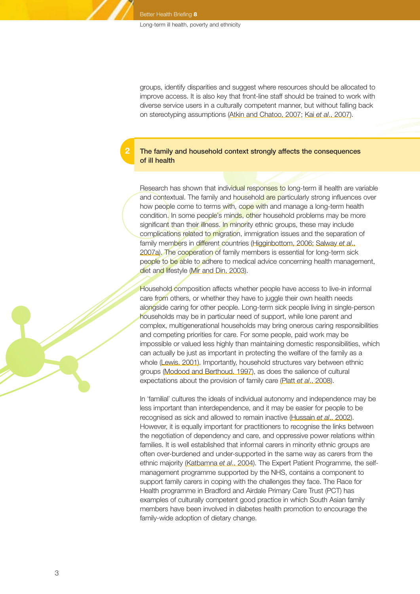**2**

groups, identify disparities and suggest where resources should be allocated to improve access. It is also key that front-line staff should be trained to work with diverse service users in a culturally competent manner, but without falling back on stereotyping assumptions (Atkin and Chatoo, 2007; Kai *et al*., 2007).

## The family and household context strongly affects the consequences of ill health

Research has shown that individual responses to long-term ill health are variable and contextual. The family and household are particularly strong influences over how people come to terms with, cope with and manage a long-term health condition. In some people's minds, other household problems may be more significant than their illness. In minority ethnic groups, these may include complications related to migration, immigration issues and the separation of family members in different countries (Higginbottom, 2006; Salway *et al*., 2007a). The cooperation of family members is essential for long-term sick people to be able to adhere to medical advice concerning health management, diet and lifestyle (Mir and Din, 2003).

Household composition affects whether people have access to live-in informal care from others, or whether they have to juggle their own health needs alongside caring for other people. Long-term sick people living in single-person households may be in particular need of support, while lone parent and complex, multigenerational households may bring onerous caring responsibilities and competing priorities for care. For some people, paid work may be impossible or valued less highly than maintaining domestic responsibilities, which can actually be just as important in protecting the welfare of the family as a whole (Lewis, 2001). Importantly, household structures vary between ethnic groups (Modood and Berthoud, 1997), as does the salience of cultural expectations about the provision of family care (Platt *et al*., 2008).

In 'familial' cultures the ideals of individual autonomy and independence may be less important than interdependence, and it may be easier for people to be recognised as sick and allowed to remain inactive (Hussain *et al*., 2002). However, it is equally important for practitioners to recognise the links between the negotiation of dependency and care, and oppressive power relations within families. It is well established that informal carers in minority ethnic groups are often over-burdened and under-supported in the same way as carers from the ethnic majority (Katbamna *et al*., 2004). The Expert Patient Programme, the selfmanagement programme supported by the NHS, contains a component to support family carers in coping with the challenges they face. The Race for Health programme in Bradford and Airdale Primary Care Trust (PCT) has examples of culturally competent good practice in which South Asian family members have been involved in diabetes health promotion to encourage the family-wide adoption of dietary change.

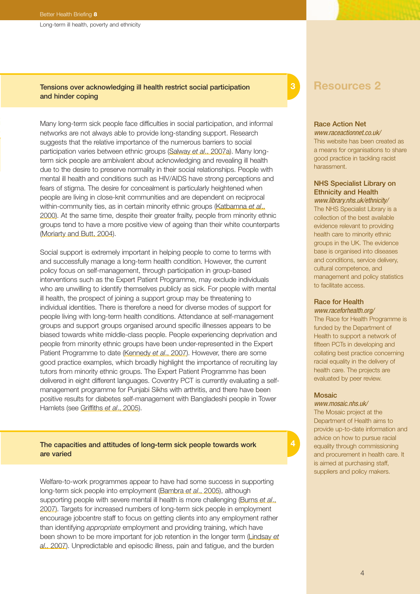Long-term ill health, poverty and ethnicity

# Tensions over acknowledging ill health restrict social participation and hinder coping

Many long-term sick people face difficulties in social participation, and informal networks are not always able to provide long-standing support. Research suggests that the relative importance of the numerous barriers to social participation varies between ethnic groups (Salway *et al*., 2007a). Many longterm sick people are ambivalent about acknowledging and revealing ill health due to the desire to preserve normality in their social relationships. People with mental ill health and conditions such as HIV/AIDS have strong perceptions and fears of stigma. The desire for concealment is particularly heightened when people are living in close-knit communities and are dependent on reciprocal within-community ties, as in certain minority ethnic groups (Katbamna *et al*., 2000). At the same time, despite their greater frailty, people from minority ethnic groups tend to have a more positive view of ageing than their white counterparts (Moriarty and Butt, 2004).

Social support is extremely important in helping people to come to terms with and successfully manage a long-term health condition. However, the current policy focus on self-management, through participation in group-based interventions such as the Expert Patient Programme, may exclude individuals who are unwilling to identify themselves publicly as sick. For people with mental ill health, the prospect of joining a support group may be threatening to individual identities. There is therefore a need for diverse modes of support for people living with long-term health conditions. Attendance at self-management groups and support groups organised around specific illnesses appears to be biased towards white middle-class people. People experiencing deprivation and people from minority ethnic groups have been under-represented in the Expert Patient Programme to date (Kennedy *et al*., 2007). However, there are some good practice examples, which broadly highlight the importance of recruiting lay tutors from minority ethnic groups. The Expert Patient Programme has been delivered in eight different languages. Coventry PCT is currently evaluating a selfmanagement programme for Punjabi Sikhs with arthritis, and there have been positive results for diabetes self-management with Bangladeshi people in Tower Hamlets (see Griffiths *et al*., 2005).

### The capacities and attitudes of long-term sick people towards work are varied

Welfare-to-work programmes appear to have had some success in supporting long-term sick people into employment (Bambra *et al*., 2005), although supporting people with severe mental ill health is more challenging (Burns *et al*., 2007). Targets for increased numbers of long-term sick people in employment encourage jobcentre staff to focus on getting clients into any employment rather than identifying *appropriate* employment and providing training, which have been shown to be more important for job retention in the longer term (Lindsay *et al*., 2007). Unpredictable and episodic illness, pain and fatigue, and the burden

# **3**

# **Resources 2**

#### Race Action Net

*[www.raceactionnet.co.uk/](http://www.raceactionnet.co.uk)* This website has been created as a means for organisations to share good practice in tackling racist harassment.

# NHS Specialist Library on Ethnicity and Health

*[www.library.nhs.uk/ethnicity/](http://www.library.nhs.uk/ethnicity)* The NHS Specialist Library is a collection of the best available evidence relevant to providing health care to minority ethnic groups in the UK. The evidence base is organised into diseases and conditions, service delivery, cultural competence, and management and policy statistics to facilitate access.

#### Race for Health *[www.raceforhealth.org/](http://www.raceforhealth.org)*

The Race for Health Programme is funded by the Department of Health to support a network of fifteen PCTs in developing and collating best practice concerning racial equality in the delivery of health care. The projects are evaluated by peer review.

### Mosaic

*[www.mosaic.nhs.uk/](http://www.mosaic.nhs.uk)* The Mosaic project at the Department of Health aims to provide up-to-date information and advice on how to pursue racial equality through commissioning and procurement in health care. It is aimed at purchasing staff, suppliers and policy makers.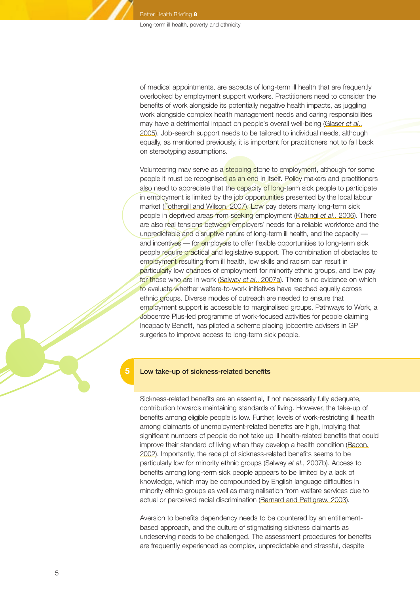of medical appointments, are aspects of long-term ill health that are frequently overlooked by employment support workers. Practitioners need to consider the benefits of work alongside its potentially negative health impacts, as juggling work alongside complex health management needs and caring responsibilities may have a detrimental impact on people's overall well-being (Glaser *et al*., 2005). Job-search support needs to be tailored to individual needs, although equally, as mentioned previously, it is important for practitioners not to fall back on stereotyping assumptions.

Volunteering may serve as a stepping stone to employment, although for some people it must be recognised as an end in itself. Policy makers and practitioners also need to appreciate that the capacity of long-term sick people to participate in employment is limited by the job opportunities presented by the local labour market (Fothergill and Wilson, 2007). Low pay deters many long-term sick people in deprived areas from seeking employment (Katungi *et al*., 2006). There are also real tensions between employers' needs for a reliable workforce and the unpredictable and disruptive nature of long-term ill health, and the capacity and incentives — for employers to offer flexible opportunities to long-term sick people require practical and legislative support. The combination of obstacles to employment resulting from ill health, low skills and racism can result in particularly low chances of employment for minority ethnic groups, and low pay for those who are in work (Salway *et al*., 2007a). There is no evidence on which to evaluate whether welfare-to-work initiatives have reached equally across ethnic groups. Diverse modes of outreach are needed to ensure that employment support is accessible to marginalised groups. Pathways to Work, a Jobcentre Plus-led programme of work-focused activities for people claiming Incapacity Benefit, has piloted a scheme placing jobcentre advisers in GP surgeries to improve access to long-term sick people.

#### Low take-up of sickness-related benefits

**5**

Sickness-related benefits are an essential, if not necessarily fully adequate, contribution towards maintaining standards of living. However, the take-up of benefits among eligible people is low. Further, levels of work-restricting ill health among claimants of unemployment-related benefits are high, implying that significant numbers of people do not take up ill health-related benefits that could improve their standard of living when they develop a health condition (Bacon, 2002). Importantly, the receipt of sickness-related benefits seems to be particularly low for minority ethnic groups (Salway *et al*., 2007b). Access to benefits among long-term sick people appears to be limited by a lack of knowledge, which may be compounded by English language difficulties in minority ethnic groups as well as marginalisation from welfare services due to actual or perceived racial discrimination (Barnard and Pettigrew, 2003).

Aversion to benefits dependency needs to be countered by an entitlementbased approach, and the culture of stigmatising sickness claimants as undeserving needs to be challenged. The assessment procedures for benefits are frequently experienced as complex, unpredictable and stressful, despite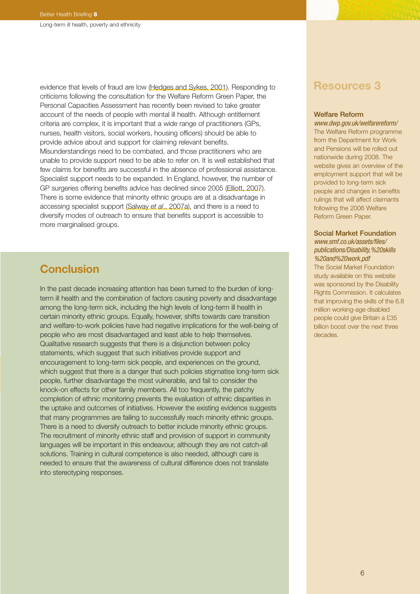evidence that levels of fraud are low (Hedges and Sykes, 2001). Responding to criticisms following the consultation for the Welfare Reform Green Paper, the Personal Capacities Assessment has recently been revised to take greater account of the needs of people with mental ill health. Although entitlement criteria are complex, it is important that a wide range of practitioners (GPs, nurses, health visitors, social workers, housing officers) should be able to provide advice about and support for claiming relevant benefits. Misunderstandings need to be combated, and those practitioners who are unable to provide support need to be able to refer on. It is well established that few claims for benefits are successful in the absence of professional assistance. Specialist support needs to be expanded. In England, however, the number of GP surgeries offering benefits advice has declined since 2005 (Elliott, 2007). There is some evidence that minority ethnic groups are at a disadvantage in accessing specialist support (Salway *et al*., 2007a), and there is a need to diversify modes of outreach to ensure that benefits support is accessible to more marginalised groups.

# **Conclusion**

In the past decade increasing attention has been turned to the burden of longterm ill health and the combination of factors causing poverty and disadvantage among the long-term sick, including the high levels of long-term ill health in certain minority ethnic groups. Equally, however, shifts towards care transition and welfare-to-work policies have had negative implications for the well-being of people who are most disadvantaged and least able to help themselves. Qualitative research suggests that there is a disjunction between policy statements, which suggest that such initiatives provide support and encouragement to long-term sick people, and experiences on the ground, which suggest that there is a danger that such policies stigmatise long-term sick people, further disadvantage the most vulnerable, and fail to consider the knock-on effects for other family members. All too frequently, the patchy completion of ethnic monitoring prevents the evaluation of ethnic disparities in the uptake and outcomes of initiatives. However the existing evidence suggests that many programmes are failing to successfully reach minority ethnic groups. There is a need to diversify outreach to better include minority ethnic groups. The recruitment of minority ethnic staff and provision of support in community languages will be important in this endeavour, although they are not catch-all solutions. Training in cultural competence is also needed, although care is needed to ensure that the awareness of cultural difference does not translate into stereotyping responses.

# **Resources 3**

### Welfare Reform

*[www.dwp.gov.uk/welfarereform/](http://www.dwp.gov.uk/welfarereform)* The Welfare Reform programme from the Department for Work and Pensions will be rolled out nationwide during 2008. The website gives an overview of the employment support that will be provided to long-term sick people and changes in benefits rulings that will affect claimants following the 2006 Welfare Reform Green Paper.

### Social Market Foundation *[www.smf.co.uk/assets/files/](http://www.smf.co.uk/assets/files/publications/Disability,%20skills%20and%20work.pdf) [publications/Disability,%20skills](http://www.smf.co.uk/assets/files/publications/Disability,%20skills%20and%20work.pdf) [%20and%20work.pdf](http://www.smf.co.uk/assets/files/publications/Disability,%20skills%20and%20work.pdf)*

The Social Market Foundation study available on this website was sponsored by the Disability Rights Commission. It calculates that improving the skills of the 6.8 million working-age disabled people could give Britain a £35 billion boost over the next three decades.